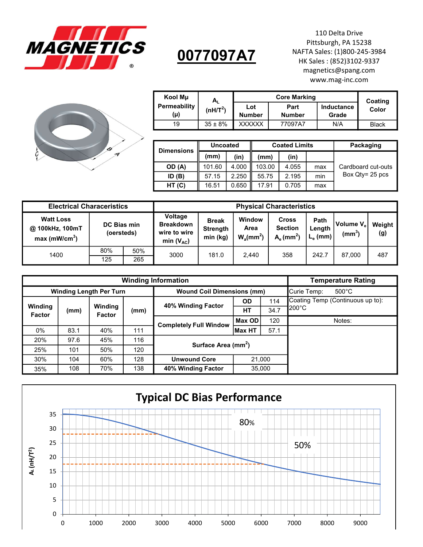

## 0077097A7

110 Delta Drive Pittsburgh, PA 15238 NAFTA Sales: (1)800-245-3984 110 Delta Drive<br>
Pittsburgh, PA 15238<br>
AFTA Sales: (1)800-245-3984<br>
HK Sales : (852)3102-9337<br>
magnetics@spang.com<br>
www.mag-inc.com<br>
arking<br>
arking<br>
Inductance<br>
Coating<br>
Color magnetics@spang.com www.mag-inc.com



| Kool Mu      | $A_{L}$              |               | Coating       |            |              |  |
|--------------|----------------------|---------------|---------------|------------|--------------|--|
| Permeability | (nH/T <sup>2</sup> ) | Part<br>Lot   |               | Inductance | Color        |  |
| (μ)          |                      | <b>Number</b> | <b>Number</b> | Grade      |              |  |
| 19           | $35 \pm 8\%$         | <b>XXXXXX</b> | 77097A7       | N/A        | <b>Black</b> |  |

| <b>Dimensions</b> | <b>Uncoated</b> |       |        | <b>Coated Limits</b> | Packaging |                    |
|-------------------|-----------------|-------|--------|----------------------|-----------|--------------------|
|                   | (mm)            | (in)  | (mm    | (in)                 |           |                    |
| OD (A)            | 101.60          | 4.000 | 103.00 | 4.055                | max       | Cardboard cut-outs |
| ID(B)             | 57.15           | 2.250 | 55.75  | 2.195                | min       | Box $Qtv = 25$ pcs |
| HT (C)            | 16.51           | 0.650 | 17.91  | 0.705                | max       |                    |

| <b>Electrical Characeristics</b>                                   | <b>Physical Characteristics</b> |     |                                                                      |                                             |                                            |                                                           |       |                                             |               |
|--------------------------------------------------------------------|---------------------------------|-----|----------------------------------------------------------------------|---------------------------------------------|--------------------------------------------|-----------------------------------------------------------|-------|---------------------------------------------|---------------|
| <b>Watt Loss</b><br>@ 100kHz, 100mT<br>$max$ (mW/cm <sup>3</sup> ) | DC Bias min<br>(oersteds)       |     | <b>Voltage</b><br><b>Breakdown</b><br>wire to wire<br>min $(V_{AC})$ | <b>Break</b><br><b>Strength</b><br>min (kg) | Window<br>Area<br>$W_a$ (mm <sup>2</sup> ) | <b>Cross</b><br><b>Section</b><br>$Ae$ (mm <sup>2</sup> ) |       | Volume V <sub>e</sub><br>(mm <sup>3</sup> ) | Weight<br>(g) |
| 1400                                                               | 80%                             | 50% | 3000                                                                 | 181.0                                       | 2,440                                      | 358                                                       | 242.7 | 87,000                                      | 487           |
|                                                                    | 125                             | 265 |                                                                      |                                             |                                            |                                                           |       |                                             |               |

|                                |      | <b>Temperature Rating</b> |      |                                   |                |      |                                  |
|--------------------------------|------|---------------------------|------|-----------------------------------|----------------|------|----------------------------------|
| <b>Winding Length Per Turn</b> |      |                           |      | <b>Wound Coil Dimensions (mm)</b> |                |      | $500^{\circ}$ C<br>Curie Temp:   |
|                                |      |                           |      | 40% Winding Factor                | <b>OD</b>      | 114  | Coating Temp (Continuous up to): |
| Winding<br><b>Factor</b>       | (mm) | Winding<br><b>Factor</b>  | (mm) |                                   | <b>HT</b>      | 34.7 | $200^{\circ}$ C                  |
|                                |      |                           |      | <b>Completely Full Window</b>     | Max OD         | 120  | Notes:                           |
| $0\%$                          | 83.1 | 40%                       | 111  |                                   | <b>IMax HT</b> | 57.1 |                                  |
| 20%                            | 97.6 | 45%                       | 116  | Surface Area (mm <sup>2</sup> )   |                |      |                                  |
| 25%                            | 101  | 50%                       | 120  |                                   |                |      |                                  |
| 30%                            | 104  | 60%                       | 128  | <b>Unwound Core</b><br>21,000     |                |      |                                  |
| 35%                            | 108  | 70%                       | 138  | 40% Winding Factor<br>35.000      |                |      |                                  |